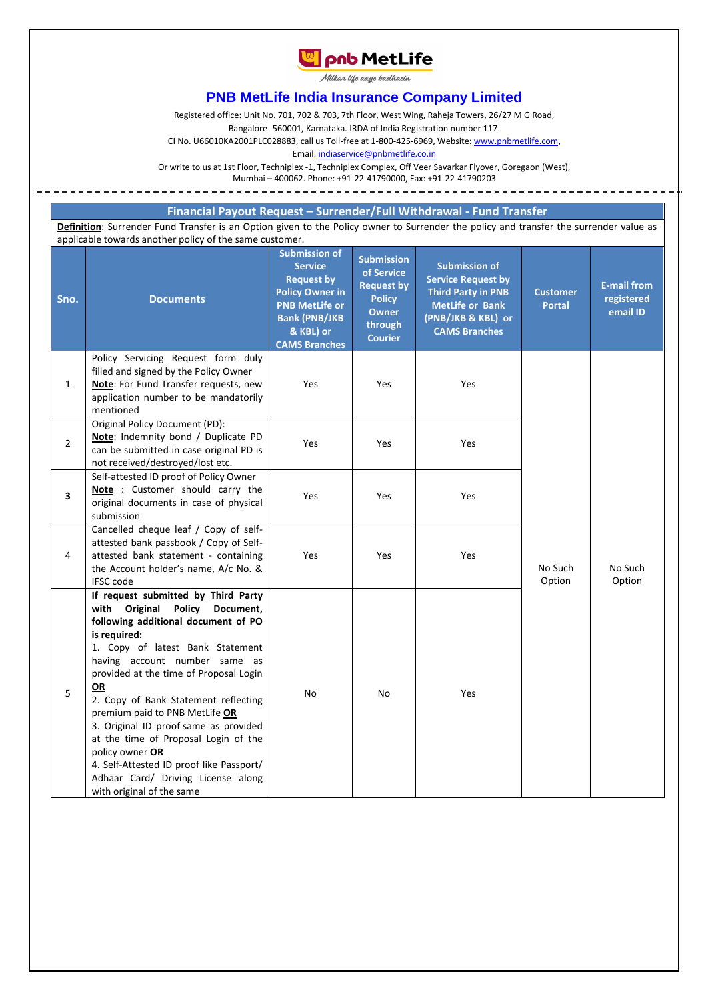

Milkar life aage badhaein

## **PNB MetLife India Insurance Company Limited**

Registered office: Unit No. 701, 702 & 703, 7th Floor, West Wing, Raheja Towers, 26/27 M G Road,

Bangalore -560001, Karnataka. IRDA of India Registration number 117.

CI No. U66010KA2001PLC028883, call us Toll-free at 1-800-425-6969, Website[: www.pnbmetlife.com,](http://www.pnbmetlife.com/)

Email[: indiaservice@pnbmetlife.co.in](mailto:indiaservice@pnbmetlife.co.in) 

Or write to us at 1st Floor, Techniplex -1, Techniplex Complex, Off Veer Savarkar Flyover, Goregaon (West),

Mumbai – 400062. Phone: +91-22-41790000, Fax: +91-22-41790203

## **Financial Payout Request – Surrender/Full Withdrawal - Fund Transfer**

**Definition**: Surrender Fund Transfer is an Option given to the Policy owner to Surrender the policy and transfer the surrender value as applicable towards another policy of the same customer.

| Sno.                    | <b>Documents</b>                                                                                                                                                                                                                                                                                                                                                                                                                                                                                                                               | <b>Submission of</b><br><b>Service</b><br><b>Request by</b><br><b>Policy Owner in</b><br><b>PNB MetLife or</b><br><b>Bank (PNB/JKB</b><br>& KBL) or<br><b>CAMS Branches</b> | <b>Submission</b><br>of Service<br><b>Request by</b><br><b>Policy</b><br><b>Owner</b><br>through<br><b>Courier</b> | <b>Submission of</b><br><b>Service Request by</b><br><b>Third Party in PNB</b><br><b>MetLife or Bank</b><br>(PNB/JKB & KBL) or<br><b>CAMS Branches</b> | <b>Customer</b><br><b>Portal</b> | <b>E-mail from</b><br>registered<br>email ID |
|-------------------------|------------------------------------------------------------------------------------------------------------------------------------------------------------------------------------------------------------------------------------------------------------------------------------------------------------------------------------------------------------------------------------------------------------------------------------------------------------------------------------------------------------------------------------------------|-----------------------------------------------------------------------------------------------------------------------------------------------------------------------------|--------------------------------------------------------------------------------------------------------------------|--------------------------------------------------------------------------------------------------------------------------------------------------------|----------------------------------|----------------------------------------------|
| $\mathbf{1}$            | Policy Servicing Request form duly<br>filled and signed by the Policy Owner<br>Note: For Fund Transfer requests, new<br>application number to be mandatorily<br>mentioned                                                                                                                                                                                                                                                                                                                                                                      | Yes                                                                                                                                                                         | Yes                                                                                                                | Yes                                                                                                                                                    |                                  |                                              |
| $\overline{2}$          | Original Policy Document (PD):<br>Note: Indemnity bond / Duplicate PD<br>can be submitted in case original PD is<br>not received/destroyed/lost etc.                                                                                                                                                                                                                                                                                                                                                                                           | Yes                                                                                                                                                                         | Yes                                                                                                                | Yes                                                                                                                                                    |                                  |                                              |
| $\overline{\mathbf{3}}$ | Self-attested ID proof of Policy Owner<br>Note : Customer should carry the<br>original documents in case of physical<br>submission                                                                                                                                                                                                                                                                                                                                                                                                             | Yes                                                                                                                                                                         | Yes                                                                                                                | Yes                                                                                                                                                    |                                  |                                              |
| 4                       | Cancelled cheque leaf / Copy of self-<br>attested bank passbook / Copy of Self-<br>attested bank statement - containing<br>the Account holder's name, A/c No. &<br><b>IFSC code</b>                                                                                                                                                                                                                                                                                                                                                            | Yes                                                                                                                                                                         | Yes                                                                                                                | Yes                                                                                                                                                    | No Such<br>Option                | No Such<br>Option                            |
| 5                       | If request submitted by Third Party<br>with Original Policy Document,<br>following additional document of PO<br>is required:<br>1. Copy of latest Bank Statement<br>having account number same as<br>provided at the time of Proposal Login<br>OR<br>2. Copy of Bank Statement reflecting<br>premium paid to PNB MetLife OR<br>3. Original ID proof same as provided<br>at the time of Proposal Login of the<br>policy owner OR<br>4. Self-Attested ID proof like Passport/<br>Adhaar Card/ Driving License along<br>with original of the same | <b>No</b>                                                                                                                                                                   | No                                                                                                                 | Yes                                                                                                                                                    |                                  |                                              |